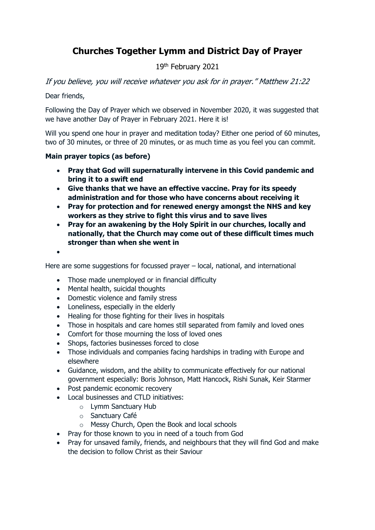## **Churches Together Lymm and District Day of Prayer**

19th February 2021

If you believe, you will receive whatever you ask for in prayer." Matthew 21:22

Dear friends,

Following the Day of Prayer which we observed in November 2020, it was suggested that we have another Day of Prayer in February 2021. Here it is!

Will you spend one hour in prayer and meditation today? Either one period of 60 minutes, two of 30 minutes, or three of 20 minutes, or as much time as you feel you can commit.

## **Main prayer topics (as before)**

- **Pray that God will supernaturally intervene in this Covid pandemic and bring it to a swift end**
- **Give thanks that we have an effective vaccine. Pray for its speedy administration and for those who have concerns about receiving it**
- **Pray for protection and for renewed energy amongst the NHS and key workers as they strive to fight this virus and to save lives**
- **Pray for an awakening by the Holy Spirit in our churches, locally and nationally, that the Church may come out of these difficult times much stronger than when she went in**

•

Here are some suggestions for focussed prayer – local, national, and international

- Those made unemployed or in financial difficulty
- Mental health, suicidal thoughts
- Domestic violence and family stress
- Loneliness, especially in the elderly
- Healing for those fighting for their lives in hospitals
- Those in hospitals and care homes still separated from family and loved ones
- Comfort for those mourning the loss of loved ones
- Shops, factories businesses forced to close
- Those individuals and companies facing hardships in trading with Europe and elsewhere
- Guidance, wisdom, and the ability to communicate effectively for our national government especially: Boris Johnson, Matt Hancock, Rishi Sunak, Keir Starmer
- Post pandemic economic recovery
- Local businesses and CTLD initiatives:
	- o Lymm Sanctuary Hub
	- o Sanctuary Café
	- o Messy Church, Open the Book and local schools
- Pray for those known to you in need of a touch from God
- Pray for unsaved family, friends, and neighbours that they will find God and make the decision to follow Christ as their Saviour